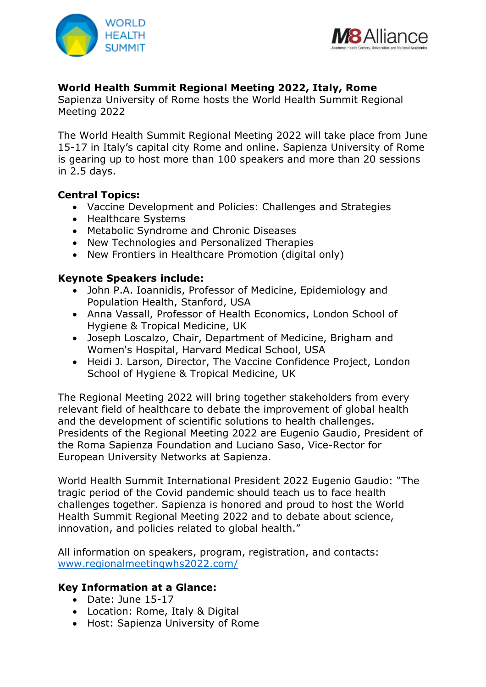



# **World Health Summit Regional Meeting 2022, Italy, Rome**

Sapienza University of Rome hosts the World Health Summit Regional Meeting 2022

The World Health Summit Regional Meeting 2022 will take place from June 15-17 in Italy's capital city Rome and online. Sapienza University of Rome is gearing up to host more than 100 speakers and more than 20 sessions in 2.5 days.

## **Central Topics:**

- Vaccine Development and Policies: Challenges and Strategies
- Healthcare Systems
- Metabolic Syndrome and Chronic Diseases
- New Technologies and Personalized Therapies
- New Frontiers in Healthcare Promotion (digital only)

## **Keynote Speakers include:**

- John P.A. Ioannidis, Professor of Medicine, Epidemiology and Population Health, Stanford, USA
- Anna Vassall, Professor of Health Economics, London School of Hygiene & Tropical Medicine, UK
- Joseph Loscalzo, Chair, Department of Medicine, Brigham and Women's Hospital, Harvard Medical School, USA
- Heidi J. Larson, Director, The Vaccine Confidence Project, London School of Hygiene & Tropical Medicine, UK

The Regional Meeting 2022 will bring together stakeholders from every relevant field of healthcare to debate the improvement of global health and the development of scientific solutions to health challenges. Presidents of the Regional Meeting 2022 are Eugenio Gaudio, President of the Roma Sapienza Foundation and Luciano Saso, Vice-Rector for European University Networks at Sapienza.

World Health Summit International President 2022 Eugenio Gaudio: "The tragic period of the Covid pandemic should teach us to face health challenges together. Sapienza is honored and proud to host the World Health Summit Regional Meeting 2022 and to debate about science, innovation, and policies related to global health."

All information on speakers, program, registration, and contacts: www[.regionalmeetingwhs2022.](https://www.regionalmeetingwhs2022.com/)com/

#### **Key Information at a Glance:**

- Date: June 15-17
- Location: Rome, Italy & Digital
- Host: Sapienza University of Rome